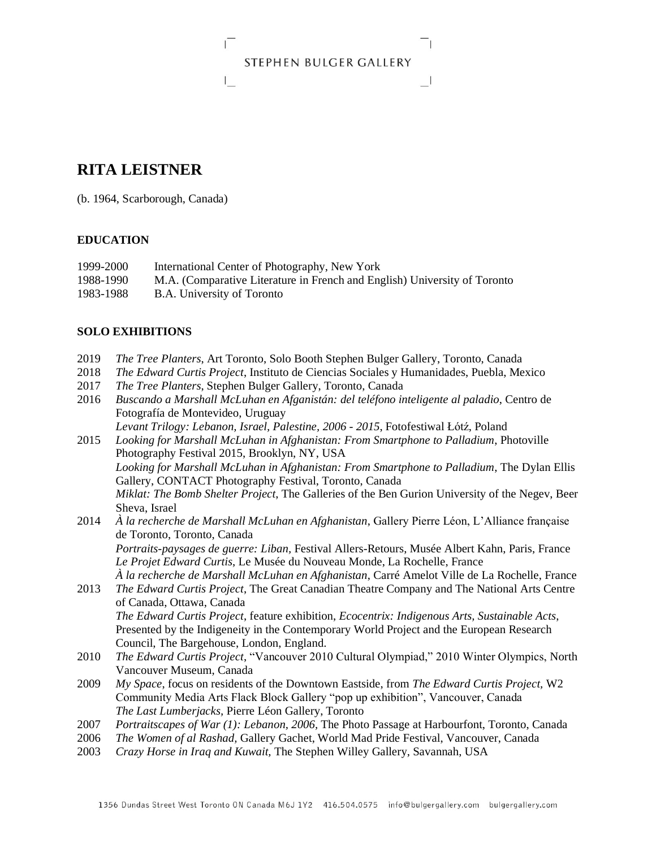

# **RITA LEISTNER**

(b. 1964, Scarborough, Canada)

#### **EDUCATION**

| 1999-2000 | International Center of Photography, New York                             |
|-----------|---------------------------------------------------------------------------|
| 1988-1990 | M.A. (Comparative Literature in French and English) University of Toronto |
| 1983-1988 | B.A. University of Toronto                                                |

#### **SOLO EXHIBITIONS**

- 2019 *The Tree Planters*, Art Toronto, Solo Booth Stephen Bulger Gallery, Toronto, Canada
- 2018 *The Edward Curtis Project*, Instituto de Ciencias Sociales y Humanidades, Puebla, Mexico
- 2017 *The Tree Planters*, Stephen Bulger Gallery, Toronto, Canada
- 2016 *Buscando a Marshall McLuhan en Afganistán: del teléfono inteligente al paladio*, Centro de Fotografía de Montevideo, Uruguay
	- *Levant Trilogy: Lebanon, Israel, Palestine, 2006 - 2015*, Fotofestiwal Łótź, Poland
- 2015 *Looking for Marshall McLuhan in Afghanistan: From Smartphone to Palladium*, Photoville Photography Festival 2015, Brooklyn, NY, USA *Looking for Marshall McLuhan in Afghanistan: From Smartphone to Palladium*, The Dylan Ellis Gallery, CONTACT Photography Festival, Toronto, Canada *Miklat: The Bomb Shelter Project*, The Galleries of the Ben Gurion University of the Negev, Beer Sheva, Israel
- 2014 *À la recherche de Marshall McLuhan en Afghanistan*, Gallery Pierre Léon, L'Alliance française de Toronto, Toronto, Canada *Portraits-paysages de guerre: Liban,* Festival Allers-Retours, Musée Albert Kahn, Paris, France *Le Projet Edward Curtis*, Le Musée du Nouveau Monde, La Rochelle, France *À la recherche de Marshall McLuhan en Afghanistan*, Carré Amelot Ville de La Rochelle, France
- 2013 *The Edward Curtis Project*, The Great Canadian Theatre Company and The National Arts Centre of Canada, Ottawa, Canada *The Edward Curtis Project*, feature exhibition, *Ecocentrix: Indigenous Arts, Sustainable Acts*, Presented by the Indigeneity in the Contemporary World Project and the European Research Council, The Bargehouse, London, England.
- 2010 *The Edward Curtis Project*, "Vancouver 2010 Cultural Olympiad," 2010 Winter Olympics, North Vancouver Museum, Canada
- 2009 *My Space*, focus on residents of the Downtown Eastside, from *The Edward Curtis Project,* W2 Community Media Arts Flack Block Gallery "pop up exhibition", Vancouver, Canada *The Last Lumberjacks,* Pierre Léon Gallery, Toronto
- 2007 *Portraitscapes of War (1): Lebanon, 2006,* The Photo Passage at Harbourfont, Toronto, Canada
- 2006 *The Women of al Rashad,* Gallery Gachet, World Mad Pride Festival, Vancouver, Canada
- 2003 *Crazy Horse in Iraq and Kuwait,* The Stephen Willey Gallery, Savannah, USA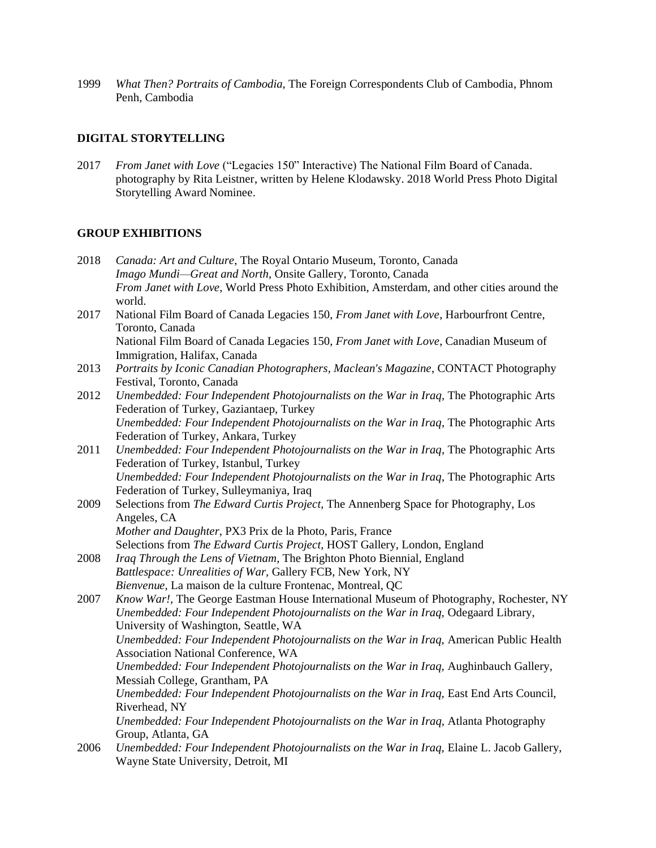1999 *What Then? Portraits of Cambodia,* The Foreign Correspondents Club of Cambodia, Phnom Penh, Cambodia

#### **DIGITAL STORYTELLING**

2017 *From Janet with Love* ("Legacies 150" Interactive) The National Film Board of Canada. photography by Rita Leistner, written by Helene Klodawsky. 2018 World Press Photo Digital Storytelling Award Nominee.

#### **GROUP EXHIBITIONS**

- 2018 *Canada: Art and Culture*, The Royal Ontario Museum, Toronto, Canada *Imago Mundi—Great and North*, Onsite Gallery, Toronto, Canada *From Janet with Love*, World Press Photo Exhibition, Amsterdam, and other cities around the world. 2017 National Film Board of Canada Legacies 150, *From Janet with Love*, Harbourfront Centre, Toronto, Canada National Film Board of Canada Legacies 150, *From Janet with Love*, Canadian Museum of Immigration, Halifax, Canada 2013 *Portraits by Iconic Canadian Photographers, Maclean's Magazine*, CONTACT Photography Festival, Toronto, Canada 2012 *Unembedded: Four Independent Photojournalists on the War in Iraq*, The Photographic Arts Federation of Turkey, Gaziantaep, Turkey *Unembedded: Four Independent Photojournalists on the War in Iraq*, The Photographic Arts Federation of Turkey, Ankara, Turkey 2011 *Unembedded: Four Independent Photojournalists on the War in Iraq*, The Photographic Arts Federation of Turkey, Istanbul, Turkey *Unembedded: Four Independent Photojournalists on the War in Iraq*, The Photographic Arts Federation of Turkey, Sulleymaniya, Iraq 2009 Selections from *The Edward Curtis Project,* The Annenberg Space for Photography, Los Angeles, CA *Mother and Daughter*, PX3 Prix de la Photo, Paris, France Selections from *The Edward Curtis Project,* HOST Gallery, London, England 2008 *Iraq Through the Lens of Vietnam,* The Brighton Photo Biennial, England *Battlespace: Unrealities of War,* Gallery FCB, New York, NY *Bienvenue,* La maison de la culture Frontenac, Montreal, QC 2007 *Know War!,* The George Eastman House International Museum of Photography, Rochester, NY *Unembedded: Four Independent Photojournalists on the War in Iraq,* Odegaard Library, University of Washington, Seattle, WA *Unembedded: Four Independent Photojournalists on the War in Iraq, American Public Health* Association National Conference, WA *Unembedded: Four Independent Photojournalists on the War in Iraq,* Aughinbauch Gallery, Messiah College, Grantham, PA *Unembedded: Four Independent Photojournalists on the War in Iraq, East End Arts Council,* Riverhead, NY
	- *Unembedded: Four Independent Photojournalists on the War in Iraq,* Atlanta Photography Group, Atlanta, GA
- 2006 *Unembedded: Four Independent Photojournalists on the War in Iraq,* Elaine L. Jacob Gallery, Wayne State University, Detroit, MI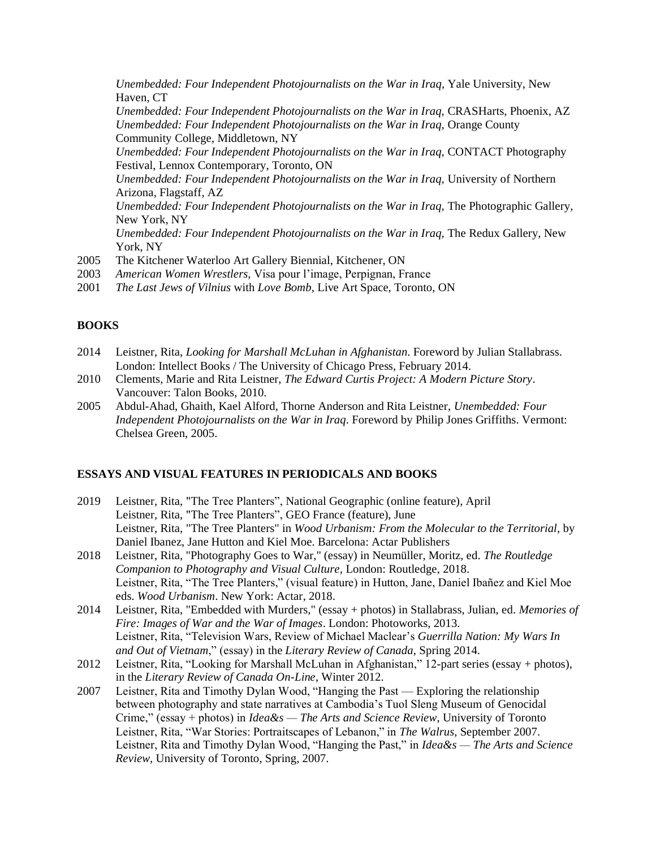*Unembedded: Four Independent Photojournalists on the War in Iraq,* Yale University, New Haven, CT

*Unembedded: Four Independent Photojournalists on the War in Iraq,* CRASHarts, Phoenix, AZ *Unembedded: Four Independent Photojournalists on the War in Iraq,* Orange County Community College, Middletown, NY

*Unembedded: Four Independent Photojournalists on the War in Iraq,* CONTACT Photography Festival, Lennox Contemporary, Toronto, ON

*Unembedded: Four Independent Photojournalists on the War in Iraq,* University of Northern Arizona, Flagstaff, AZ

*Unembedded: Four Independent Photojournalists on the War in Iraq,* The Photographic Gallery, New York, NY

*Unembedded: Four Independent Photojournalists on the War in Iraq, The Redux Gallery, New* York, NY

- 2005 The Kitchener Waterloo Art Gallery Biennial, Kitchener, ON
- 2003 *American Women Wrestlers,* Visa pour l'image, Perpignan, France
- 2001 *The Last Jews of Vilnius* with *Love Bomb,* Live Art Space, Toronto, ON

#### **BOOKS**

- 2014 Leistner, Rita, *Looking for Marshall McLuhan in Afghanistan*. Foreword by Julian Stallabrass. London: Intellect Books / The University of Chicago Press, February 2014.
- 2010 Clements, Marie and Rita Leistner, *The Edward Curtis Project: A Modern Picture Story*. Vancouver: Talon Books, 2010.
- 2005 Abdul-Ahad, Ghaith, Kael Alford, Thorne Anderson and Rita Leistner, *Unembedded: Four Independent Photojournalists on the War in Iraq*. Foreword by Philip Jones Griffiths. Vermont: Chelsea Green, 2005.

#### **ESSAYS AND VISUAL FEATURES IN PERIODICALS AND BOOKS**

- 2019 Leistner, Rita, "The Tree Planters", National Geographic (online feature), April Leistner, Rita, "The Tree Planters", GEO France (feature), June Leistner, Rita, "The Tree Planters" in *Wood Urbanism: From the Molecular to the Territorial*, by Daniel Ibanez, Jane Hutton and Kiel Moe. Barcelona: Actar Publishers
- 2018 Leistner, Rita, "Photography Goes to War," (essay) in Neumüller, Moritz, ed. *The Routledge Companion to Photography and Visual Culture,* London: Routledge, 2018. Leistner, Rita, "The Tree Planters," (visual feature) in Hutton, Jane, Daniel Ibañez and Kiel Moe eds. *Wood Urbanism*. New York: Actar, 2018.
- 2014 Leistner, Rita, "Embedded with Murders," (essay + photos) in Stallabrass, Julian, ed. *Memories of Fire: Images of War and the War of Images*. London: Photoworks, 2013. Leistner, Rita, "Television Wars, Review of Michael Maclear's *Guerrilla Nation: My Wars In and Out of Vietnam*," (essay) in the *Literary Review of Canada*, Spring 2014.
- 2012 Leistner, Rita, "Looking for Marshall McLuhan in Afghanistan," 12-part series (essay + photos), in the *Literary Review of Canada On-Line*, Winter 2012.
- 2007 Leistner, Rita and Timothy Dylan Wood, "Hanging the Past Exploring the relationship between photography and state narratives at Cambodia's Tuol Sleng Museum of Genocidal Crime," (essay + photos) in *Idea&s — The Arts and Science Review*, University of Toronto Leistner, Rita, "War Stories: Portraitscapes of Lebanon," in *The Walrus*, September 2007. Leistner, Rita and Timothy Dylan Wood, "Hanging the Past," in *Idea&s — The Arts and Science Review*, University of Toronto, Spring, 2007.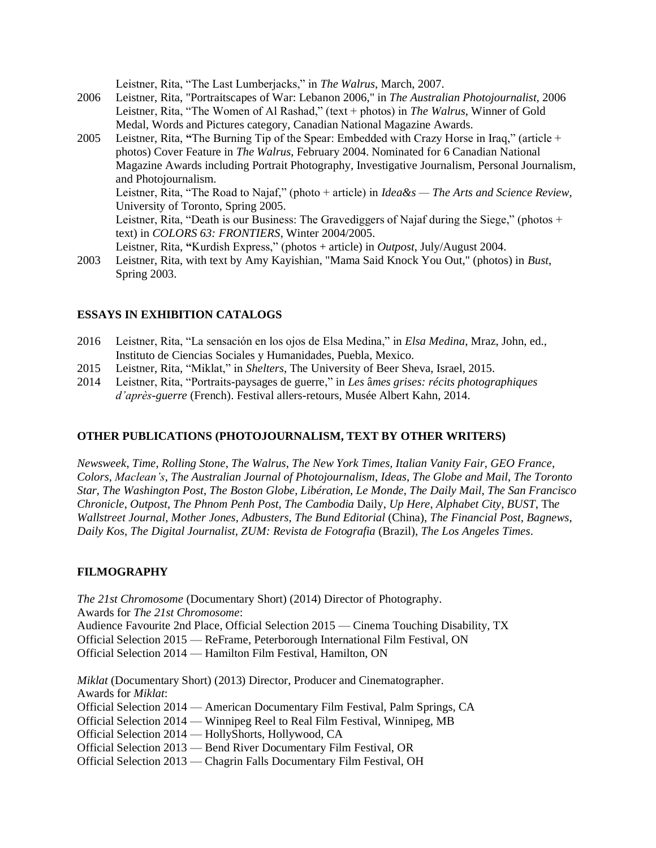Leistner, Rita, "The Last Lumberjacks," in *The Walrus*, March, 2007.

- 2006 Leistner, Rita, "Portraitscapes of War: Lebanon 2006," in *The Australian Photojournalist,* 2006 Leistner, Rita, "The Women of Al Rashad," (text + photos) in *The Walrus*, Winner of Gold Medal, Words and Pictures category, Canadian National Magazine Awards.
- 2005 Leistner, Rita, **"**The Burning Tip of the Spear: Embedded with Crazy Horse in Iraq," (article + photos) Cover Feature in *The Walrus*, February 2004. Nominated for 6 Canadian National Magazine Awards including Portrait Photography, Investigative Journalism, Personal Journalism, and Photojournalism. Leistner, Rita, "The Road to Najaf," (photo + article) in *Idea&s — The Arts and Science Review*, University of Toronto, Spring 2005. Leistner, Rita, "Death is our Business: The Gravediggers of Najaf during the Siege," (photos + text) in *COLORS 63: FRONTIERS*, Winter 2004/2005. Leistner, Rita, **"**Kurdish Express," (photos + article) in *Outpost*, July/August 2004.
- 2003 Leistner, Rita, with text by Amy Kayishian, "Mama Said Knock You Out," (photos) in *Bust*, Spring 2003.

#### **ESSAYS IN EXHIBITION CATALOGS**

- 2016 Leistner, Rita, "La sensación en los ojos de Elsa Medina," in *Elsa Medina*, Mraz, John, ed., Instituto de Ciencias Sociales y Humanidades, Puebla, Mexico.
- 2015 Leistner, Rita, "Miklat," in *Shelters*, The University of Beer Sheva, Israel, 2015.
- 2014 Leistner, Rita, "Portraits-paysages de guerre," in *Les* â*mes grises: récits photographiques d'après-guerre* (French). Festival allers-retours, Musée Albert Kahn, 2014.

#### **OTHER PUBLICATIONS (PHOTOJOURNALISM, TEXT BY OTHER WRITERS)**

*Newsweek*, *Time*, *Rolling Stone, The Walrus*, *The New York Times, Italian Vanity Fair*, *GEO France*, *Colors*, *Maclean's*, *The Australian Journal of Photojournalism*, *Ideas*, *The Globe and Mail*, *The Toronto Star*, *The Washington Post*, *The Boston Globe*, *Libération*, *Le Monde*, *The Daily Mail*, *The San Francisco Chronicle*, *Outpost*, *The Phnom Penh Post*, *The Cambodia* Daily, *Up Here*, *Alphabet City*, *BUST*, Th*e Wallstreet Journal*, *Mother Jones*, *Adbusters*, *The Bund Editorial* (China), *The Financial Post*, *Bagnews*, *Daily Kos, The Digital Journalist, ZUM: Revista de Fotografia* (Brazil), *The Los Angeles Times*.

#### **FILMOGRAPHY**

*The 21st Chromosome* (Documentary Short) (2014) Director of Photography. Awards for *The 21st Chromosome*: Audience Favourite 2nd Place, Official Selection 2015 — Cinema Touching Disability, TX Official Selection 2015 — ReFrame, Peterborough International Film Festival, ON Official Selection 2014 — Hamilton Film Festival, Hamilton, ON

*Miklat* (Documentary Short) (2013) Director, Producer and Cinematographer. Awards for *Miklat*: Official Selection 2014 — American Documentary Film Festival, Palm Springs, CA Official Selection 2014 — Winnipeg Reel to Real Film Festival, Winnipeg, MB Official Selection 2014 — HollyShorts, Hollywood, CA

Official Selection 2013 — Bend River Documentary Film Festival, OR

Official Selection 2013 — Chagrin Falls Documentary Film Festival, OH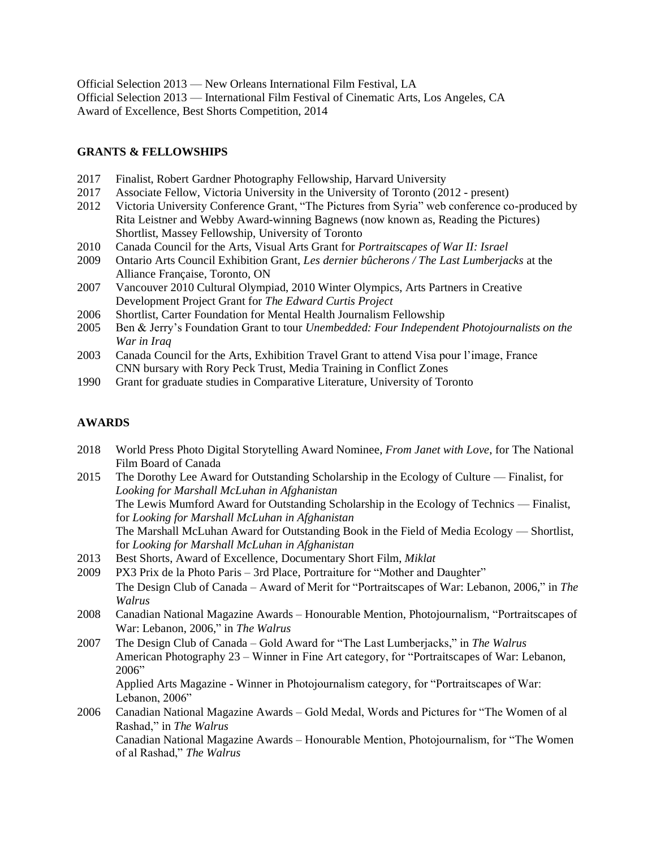Official Selection 2013 — New Orleans International Film Festival, LA Official Selection 2013 — International Film Festival of Cinematic Arts, Los Angeles, CA Award of Excellence, Best Shorts Competition, 2014

#### **GRANTS & FELLOWSHIPS**

- 2017 Finalist, Robert Gardner Photography Fellowship, Harvard University
- 2017 Associate Fellow, Victoria University in the University of Toronto (2012 present)
- 2012 Victoria University Conference Grant, "The Pictures from Syria" web conference co-produced by Rita Leistner and Webby Award-winning Bagnews (now known as, Reading the Pictures) Shortlist, Massey Fellowship, University of Toronto
- 2010 Canada Council for the Arts, Visual Arts Grant for *Portraitscapes of War II: Israel*
- 2009 Ontario Arts Council Exhibition Grant, *Les dernier bûcherons / The Last Lumberjacks* at the Alliance Française, Toronto, ON
- 2007 Vancouver 2010 Cultural Olympiad, 2010 Winter Olympics, Arts Partners in Creative Development Project Grant for *The Edward Curtis Project*
- 2006 Shortlist, Carter Foundation for Mental Health Journalism Fellowship
- 2005 Ben & Jerry's Foundation Grant to tour *Unembedded: Four Independent Photojournalists on the War in Iraq*
- 2003 Canada Council for the Arts, Exhibition Travel Grant to attend Visa pour l'image, France CNN bursary with Rory Peck Trust, Media Training in Conflict Zones
- 1990 Grant for graduate studies in Comparative Literature, University of Toronto

#### **AWARDS**

- 2018 World Press Photo Digital Storytelling Award Nominee, *From Janet with Love*, for The National Film Board of Canada
- 2015 The Dorothy Lee Award for Outstanding Scholarship in the Ecology of Culture Finalist, for *Looking for Marshall McLuhan in Afghanistan* The Lewis Mumford Award for Outstanding Scholarship in the Ecology of Technics — Finalist, for *Looking for Marshall McLuhan in Afghanistan* The Marshall McLuhan Award for Outstanding Book in the Field of Media Ecology — Shortlist, for *Looking for Marshall McLuhan in Afghanistan*
- 2013 Best Shorts, Award of Excellence, Documentary Short Film, *Miklat*
- 2009 PX3 Prix de la Photo Paris 3rd Place, Portraiture for "Mother and Daughter" The Design Club of Canada – Award of Merit for "Portraitscapes of War: Lebanon, 2006," in *The Walrus*
- 2008 Canadian National Magazine Awards Honourable Mention, Photojournalism, "Portraitscapes of War: Lebanon, 2006," in *The Walrus*
- 2007 The Design Club of Canada Gold Award for "The Last Lumberjacks," in *The Walrus* American Photography 23 – Winner in Fine Art category, for "Portraitscapes of War: Lebanon, 2006" Applied Arts Magazine - Winner in Photojournalism category, for "Portraitscapes of War: Lebanon, 2006"
- 2006 Canadian National Magazine Awards Gold Medal, Words and Pictures for "The Women of al Rashad," in *The Walrus* Canadian National Magazine Awards – Honourable Mention, Photojournalism, for "The Women of al Rashad," *The Walrus*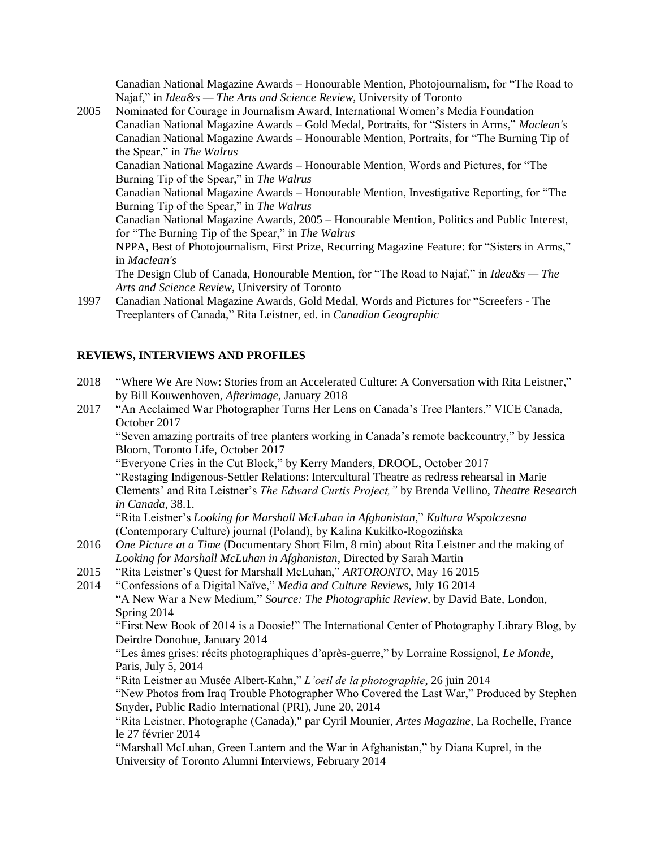Canadian National Magazine Awards – Honourable Mention, Photojournalism, for "The Road to Najaf," in *Idea&s — The Arts and Science Review*, University of Toronto

2005 Nominated for Courage in Journalism Award, International Women's Media Foundation Canadian National Magazine Awards – Gold Medal, Portraits, for "Sisters in Arms," *Maclean's* Canadian National Magazine Awards – Honourable Mention, Portraits, for "The Burning Tip of the Spear," in *The Walrus* Canadian National Magazine Awards – Honourable Mention, Words and Pictures, for "The Burning Tip of the Spear," in *The Walrus* Canadian National Magazine Awards – Honourable Mention, Investigative Reporting, for "The Burning Tip of the Spear," in *The Walrus* Canadian National Magazine Awards, 2005 – Honourable Mention, Politics and Public Interest, for "The Burning Tip of the Spear," in *The Walrus* NPPA, Best of Photojournalism, First Prize, Recurring Magazine Feature: for "Sisters in Arms," in *Maclean's* The Design Club of Canada, Honourable Mention, for "The Road to Najaf," in *Idea&s — The Arts and Science Review*, University of Toronto

1997 Canadian National Magazine Awards, Gold Medal, Words and Pictures for "Screefers - The Treeplanters of Canada," Rita Leistner, ed. in *Canadian Geographic*

#### **REVIEWS, INTERVIEWS AND PROFILES**

| 2018 | "Where We Are Now: Stories from an Accelerated Culture: A Conversation with Rita Leistner,"                                        |
|------|------------------------------------------------------------------------------------------------------------------------------------|
|      | by Bill Kouwenhoven, Afterimage, January 2018                                                                                      |
| 2017 | "An Acclaimed War Photographer Turns Her Lens on Canada's Tree Planters," VICE Canada,                                             |
|      | October 2017                                                                                                                       |
|      | "Seven amazing portraits of tree planters working in Canada's remote backcountry," by Jessica<br>Bloom, Toronto Life, October 2017 |
|      |                                                                                                                                    |
|      | "Everyone Cries in the Cut Block," by Kerry Manders, DROOL, October 2017                                                           |
|      | "Restaging Indigenous-Settler Relations: Intercultural Theatre as redress rehearsal in Marie                                       |
|      | Clements' and Rita Leistner's The Edward Curtis Project," by Brenda Vellino, Theatre Research                                      |
|      | in Canada, 38.1.                                                                                                                   |
|      | "Rita Leistner's Looking for Marshall McLuhan in Afghanistan," Kultura Wspolczesna                                                 |
|      | (Contemporary Culture) journal (Poland), by Kalina Kukiłko-Rogozińska                                                              |
| 2016 | One Picture at a Time (Documentary Short Film, 8 min) about Rita Leistner and the making of                                        |
|      | Looking for Marshall McLuhan in Afghanistan, Directed by Sarah Martin                                                              |
| 2015 | "Rita Leistner's Quest for Marshall McLuhan," ARTORONTO, May 16 2015                                                               |
| 2014 | "Confessions of a Digital Naïve," Media and Culture Reviews, July 16 2014                                                          |
|      | "A New War a New Medium," Source: The Photographic Review, by David Bate, London,                                                  |
|      | Spring 2014                                                                                                                        |
|      |                                                                                                                                    |
|      | "First New Book of 2014 is a Doosie!" The International Center of Photography Library Blog, by                                     |
|      | Deirdre Donohue, January 2014                                                                                                      |
|      | "Les âmes grises: récits photographiques d'après-guerre," by Lorraine Rossignol, Le Monde,                                         |
|      | Paris, July 5, 2014                                                                                                                |
|      | "Rita Leistner au Musée Albert-Kahn," L'oeil de la photographie, 26 juin 2014                                                      |
|      | "New Photos from Iraq Trouble Photographer Who Covered the Last War," Produced by Stephen                                          |
|      | Snyder, Public Radio International (PRI), June 20, 2014                                                                            |
|      | "Rita Leistner, Photographe (Canada)," par Cyril Mounier, Artes Magazine, La Rochelle, France                                      |
|      | le 27 février 2014                                                                                                                 |
|      |                                                                                                                                    |
|      | "Marshall McLuhan, Green Lantern and the War in Afghanistan," by Diana Kuprel, in the                                              |

University of Toronto Alumni Interviews, February 2014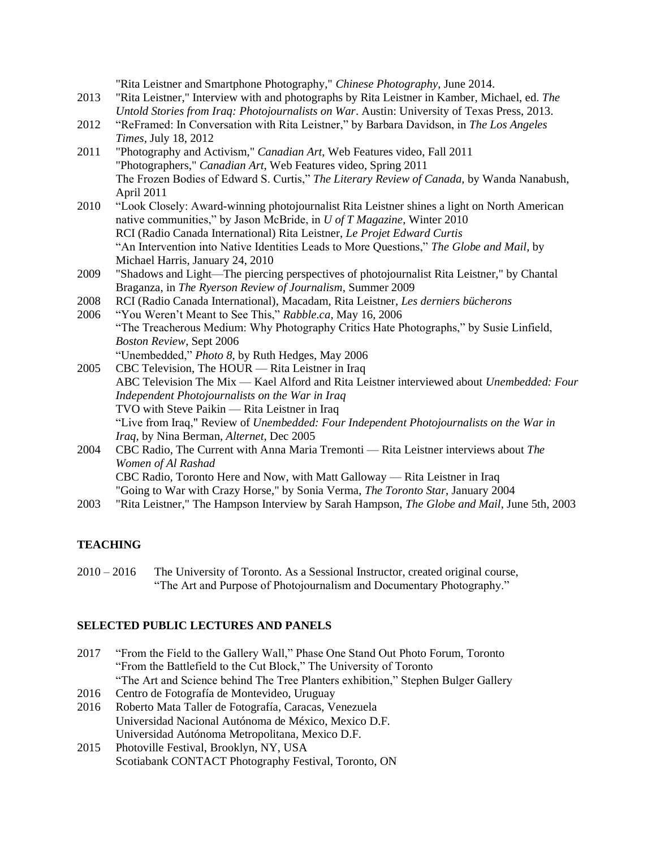"Rita Leistner and Smartphone Photography," *Chinese Photography*, June 2014. 2013 "Rita Leistner," Interview with and photographs by Rita Leistner in Kamber, Michael, ed. *The Untold Stories from Iraq: Photojournalists on War*. Austin: University of Texas Press, 2013. 2012 "ReFramed: In Conversation with Rita Leistner," by Barbara Davidson, in *The Los Angeles Times,* July 18, 2012 2011 "Photography and Activism," *Canadian Art*, Web Features video, Fall 2011 "Photographers," *Canadian Art*, Web Features video, Spring 2011 The Frozen Bodies of Edward S. Curtis," *The Literary Review of Canada,* by Wanda Nanabush, April 2011 2010 "Look Closely: Award-winning photojournalist Rita Leistner shines a light on North American native communities," by Jason McBride, in *U of T Magazine*, Winter 2010 RCI (Radio Canada International) Rita Leistner, *Le Projet Edward Curtis* "An Intervention into Native Identities Leads to More Questions," *The Globe and Mail*, by Michael Harris, January 24, 2010 2009 "Shadows and Light—The piercing perspectives of photojournalist Rita Leistner," by Chantal Braganza, in *The Ryerson Review of Journalism*, Summer 2009 2008 RCI (Radio Canada International), Macadam, Rita Leistner, *Les derniers bücherons* 2006 "You Weren't Meant to See This," *Rabble.ca*, May 16, 2006 "The Treacherous Medium: Why Photography Critics Hate Photographs," by Susie Linfield, *Boston Review*, Sept 2006 "Unembedded," *Photo 8*, by Ruth Hedges, May 2006 2005 CBC Television, The HOUR — Rita Leistner in Iraq ABC Television The Mix — Kael Alford and Rita Leistner interviewed about *Unembedded: Four Independent Photojournalists on the War in Iraq* TVO with Steve Paikin — Rita Leistner in Iraq "Live from Iraq," Review of *Unembedded: Four Independent Photojournalists on the War in Iraq,* by Nina Berman, *Alternet,* Dec 2005 2004 CBC Radio, The Current with Anna Maria Tremonti — Rita Leistner interviews about *The Women of Al Rashad* CBC Radio, Toronto Here and Now, with Matt Galloway — Rita Leistner in Iraq "Going to War with Crazy Horse," by Sonia Verma, *The Toronto Star*, January 2004 2003 "Rita Leistner," The Hampson Interview by Sarah Hampson, *The Globe and Mail*, June 5th, 2003

# **TEACHING**

2010 – 2016 The University of Toronto. As a Sessional Instructor, created original course, "The Art and Purpose of Photojournalism and Documentary Photography."

### **SELECTED PUBLIC LECTURES AND PANELS**

- 2017 "From the Field to the Gallery Wall," Phase One Stand Out Photo Forum, Toronto "From the Battlefield to the Cut Block," The University of Toronto "The Art and Science behind The Tree Planters exhibition," Stephen Bulger Gallery
- 2016 Centro de Fotografía de Montevideo, Uruguay
- 2016 Roberto Mata Taller de Fotografía, Caracas, Venezuela Universidad Nacional Autónoma de México, Mexico D.F. Universidad Autónoma Metropolitana, Mexico D.F.
- 2015 Photoville Festival, Brooklyn, NY, USA Scotiabank CONTACT Photography Festival, Toronto, ON